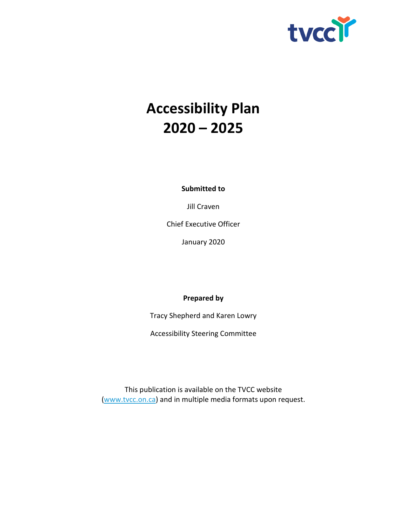

# **Accessibility Plan 2020 – 2025**

**Submitted to**

Jill Craven

Chief Executive Officer

January 2020

#### **Prepared by**

Tracy Shepherd and Karen Lowry

Accessibility Steering Committee

This publication is available on the TVCC website [\(www.tvcc.on.ca\)](http://www.tvcc.on.ca/) and in multiple media formats upon request.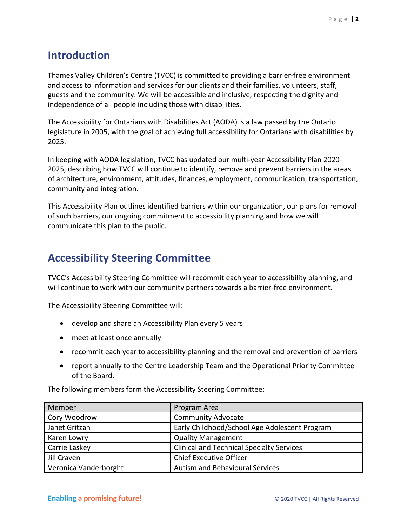#### **Introduction**

Thames Valley Children's Centre (TVCC) is committed to providing a barrier-free environment and access to information and services for our clients and their families, volunteers, staff, guests and the community. We will be accessible and inclusive, respecting the dignity and independence of all people including those with disabilities.

The Accessibility for Ontarians with Disabilities Act (AODA) is a law passed by the Ontario legislature in 2005, with the goal of achieving full accessibility for Ontarians with disabilities by 2025.

In keeping with AODA legislation, TVCC has updated our multi-year Accessibility Plan 2020- 2025, describing how TVCC will continue to identify, remove and prevent barriers in the areas of architecture, environment, attitudes, finances, employment, communication, transportation, community and integration.

This Accessibility Plan outlines identified barriers within our organization, our plans for removal of such barriers, our ongoing commitment to accessibility planning and how we will communicate this plan to the public.

## **Accessibility Steering Committee**

TVCC's Accessibility Steering Committee will recommit each year to accessibility planning, and will continue to work with our community partners towards a barrier-free environment.

The Accessibility Steering Committee will:

- develop and share an Accessibility Plan every 5 years
- meet at least once annually
- recommit each year to accessibility planning and the removal and prevention of barriers
- report annually to the Centre Leadership Team and the Operational Priority Committee of the Board.

The following members form the Accessibility Steering Committee:

| Member                | Program Area                                     |
|-----------------------|--------------------------------------------------|
| Cory Woodrow          | <b>Community Advocate</b>                        |
| Janet Gritzan         | Early Childhood/School Age Adolescent Program    |
| Karen Lowry           | <b>Quality Management</b>                        |
| Carrie Laskey         | <b>Clinical and Technical Specialty Services</b> |
| Jill Craven           | <b>Chief Executive Officer</b>                   |
| Veronica Vanderborght | <b>Autism and Behavioural Services</b>           |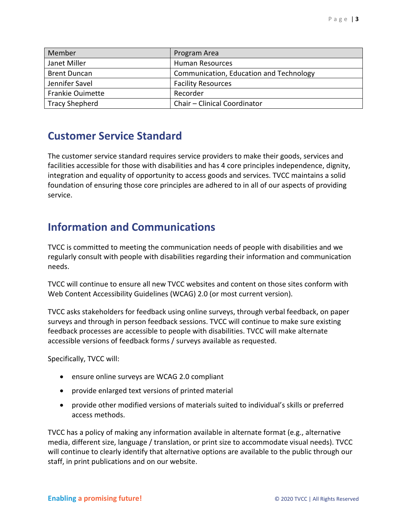| Member                  | Program Area                            |
|-------------------------|-----------------------------------------|
| Janet Miller            | <b>Human Resources</b>                  |
| <b>Brent Duncan</b>     | Communication, Education and Technology |
| Jennifer Savel          | <b>Facility Resources</b>               |
| <b>Frankie Ouimette</b> | Recorder                                |
| <b>Tracy Shepherd</b>   | Chair - Clinical Coordinator            |

#### **Customer Service Standard**

The customer service standard requires service providers to make their goods, services and facilities accessible for those with disabilities and has 4 core principles independence, dignity, integration and equality of opportunity to access goods and services. TVCC maintains a solid foundation of ensuring those core principles are adhered to in all of our aspects of providing service.

#### **Information and Communications**

TVCC is committed to meeting the communication needs of people with disabilities and we regularly consult with people with disabilities regarding their information and communication needs.

TVCC will continue to ensure all new TVCC websites and content on those sites conform with Web Content Accessibility Guidelines (WCAG) 2.0 (or most current version).

TVCC asks stakeholders for feedback using online surveys, through verbal feedback, on paper surveys and through in person feedback sessions. TVCC will continue to make sure existing feedback processes are accessible to people with disabilities. TVCC will make alternate accessible versions of feedback forms / surveys available as requested.

Specifically, TVCC will:

- ensure online surveys are WCAG 2.0 compliant
- provide enlarged text versions of printed material
- provide other modified versions of materials suited to individual's skills or preferred access methods.

TVCC has a policy of making any information available in alternate format (e.g., alternative media, different size, language / translation, or print size to accommodate visual needs). TVCC will continue to clearly identify that alternative options are available to the public through our staff, in print publications and on our website.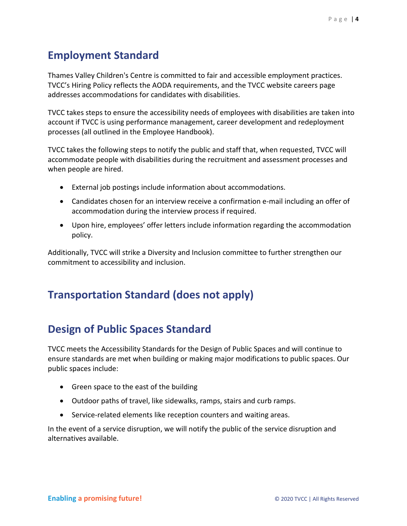#### **Employment Standard**

Thames Valley Children's Centre is committed to fair and accessible employment practices. TVCC's Hiring Policy reflects the AODA requirements, and the TVCC website careers page addresses accommodations for candidates with disabilities.

TVCC takes steps to ensure the accessibility needs of employees with disabilities are taken into account if TVCC is using performance management, career development and redeployment processes (all outlined in the Employee Handbook).

TVCC takes the following steps to notify the public and staff that, when requested, TVCC will accommodate people with disabilities during the recruitment and assessment processes and when people are hired.

- External job postings include information about accommodations.
- Candidates chosen for an interview receive a confirmation e-mail including an offer of accommodation during the interview process if required.
- Upon hire, employees' offer letters include information regarding the accommodation policy.

Additionally, TVCC will strike a Diversity and Inclusion committee to further strengthen our commitment to accessibility and inclusion.

## **Transportation Standard (does not apply)**

## **Design of Public Spaces Standard**

TVCC meets the Accessibility Standards for the Design of Public Spaces and will continue to ensure standards are met when building or making major modifications to public spaces. Our public spaces include:

- Green space to the east of the building
- Outdoor paths of travel, like sidewalks, ramps, stairs and curb ramps.
- Service-related elements like reception counters and waiting areas.

In the event of a service disruption, we will notify the public of the service disruption and alternatives available.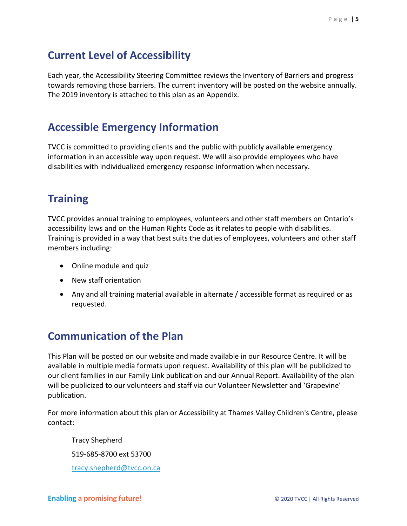## **Current Level of Accessibility**

Each year, the Accessibility Steering Committee reviews the Inventory of Barriers and progress towards removing those barriers. The current inventory will be posted on the website annually. The 2019 inventory is attached to this plan as an Appendix.

#### **Accessible Emergency Information**

TVCC is committed to providing clients and the public with publicly available emergency information in an accessible way upon request. We will also provide employees who have disabilities with individualized emergency response information when necessary.

## **Training**

TVCC provides annual training to employees, volunteers and other staff members on Ontario's accessibility laws and on the Human Rights Code as it relates to people with disabilities. Training is provided in a way that best suits the duties of employees, volunteers and other staff members including:

- Online module and quiz
- New staff orientation
- Any and all training material available in alternate / accessible format as required or as requested.

## **Communication of the Plan**

This Plan will be posted on our website and made available in our Resource Centre. It will be available in multiple media formats upon request. Availability of this plan will be publicized to our client families in our Family Link publication and our Annual Report. Availability of the plan will be publicized to our volunteers and staff via our Volunteer Newsletter and 'Grapevine' publication.

For more information about this plan or Accessibility at Thames Valley Children's Centre, please contact:

Tracy Shepherd 519-685-8700 ext 53700 [tracy.shepherd@tvcc.on.ca](mailto:tracy.shepherd@tvcc.on.ca)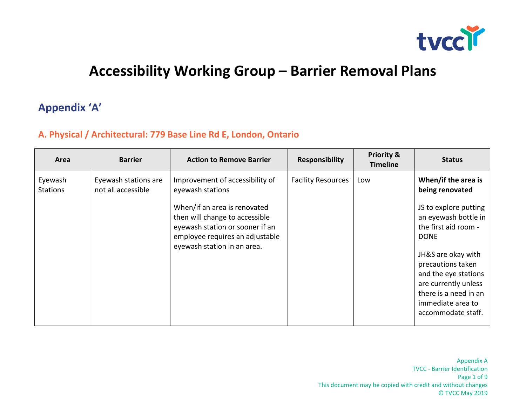

## **Accessibility Working Group – Barrier Removal Plans**

### **Appendix 'A'**

#### **A. Physical / Architectural: 779 Base Line Rd E, London, Ontario**

| Area                       | <b>Barrier</b>                             | <b>Action to Remove Barrier</b>                                                                                                     | <b>Responsibility</b>     | <b>Priority &amp;</b><br><b>Timeline</b> | <b>Status</b>                                                                                                    |
|----------------------------|--------------------------------------------|-------------------------------------------------------------------------------------------------------------------------------------|---------------------------|------------------------------------------|------------------------------------------------------------------------------------------------------------------|
| Eyewash<br><b>Stations</b> | Eyewash stations are<br>not all accessible | Improvement of accessibility of<br>eyewash stations<br>When/if an area is renovated                                                 | <b>Facility Resources</b> | Low                                      | When/if the area is<br>being renovated<br>JS to explore putting                                                  |
|                            |                                            | then will change to accessible<br>eyewash station or sooner if an<br>employee requires an adjustable<br>eyewash station in an area. |                           |                                          | an eyewash bottle in<br>the first aid room -<br><b>DONE</b>                                                      |
|                            |                                            |                                                                                                                                     |                           |                                          | JH&S are okay with<br>precautions taken<br>and the eye stations<br>are currently unless<br>there is a need in an |
|                            |                                            |                                                                                                                                     |                           |                                          | immediate area to<br>accommodate staff.                                                                          |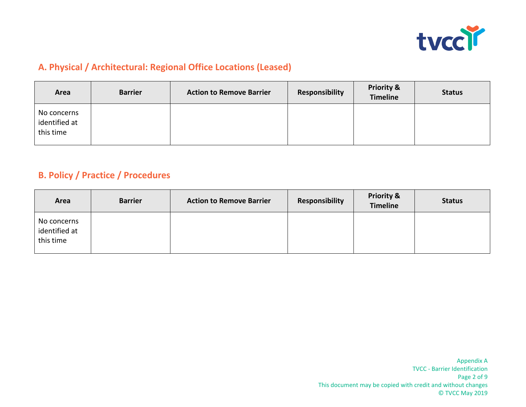

#### **A. Physical / Architectural: Regional Office Locations (Leased)**

| Area                                      | <b>Barrier</b> | <b>Action to Remove Barrier</b> | Responsibility | <b>Priority &amp;</b><br><b>Timeline</b> | <b>Status</b> |
|-------------------------------------------|----------------|---------------------------------|----------------|------------------------------------------|---------------|
| No concerns<br>identified at<br>this time |                |                                 |                |                                          |               |

#### **B. Policy / Practice / Procedures**

| Area                                      | <b>Barrier</b> | <b>Action to Remove Barrier</b> | <b>Responsibility</b> | <b>Priority &amp;</b><br><b>Timeline</b> | <b>Status</b> |
|-------------------------------------------|----------------|---------------------------------|-----------------------|------------------------------------------|---------------|
| No concerns<br>identified at<br>this time |                |                                 |                       |                                          |               |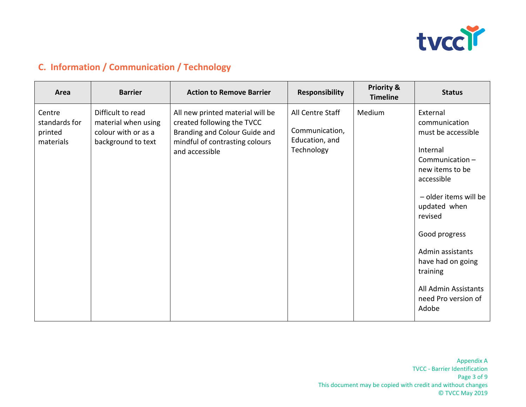

#### **C. Information / Communication / Technology**

| Area                                            | <b>Barrier</b>                                                                        | <b>Action to Remove Barrier</b>                                                                                                                     | <b>Responsibility</b>                                              | <b>Priority &amp;</b><br><b>Timeline</b> | <b>Status</b>                                                                                                                                                                                                                                                                                    |
|-------------------------------------------------|---------------------------------------------------------------------------------------|-----------------------------------------------------------------------------------------------------------------------------------------------------|--------------------------------------------------------------------|------------------------------------------|--------------------------------------------------------------------------------------------------------------------------------------------------------------------------------------------------------------------------------------------------------------------------------------------------|
| Centre<br>standards for<br>printed<br>materials | Difficult to read<br>material when using<br>colour with or as a<br>background to text | All new printed material will be<br>created following the TVCC<br>Branding and Colour Guide and<br>mindful of contrasting colours<br>and accessible | All Centre Staff<br>Communication,<br>Education, and<br>Technology | Medium                                   | External<br>communication<br>must be accessible<br>Internal<br>Communication-<br>new items to be<br>accessible<br>- older items will be<br>updated when<br>revised<br>Good progress<br>Admin assistants<br>have had on going<br>training<br>All Admin Assistants<br>need Pro version of<br>Adobe |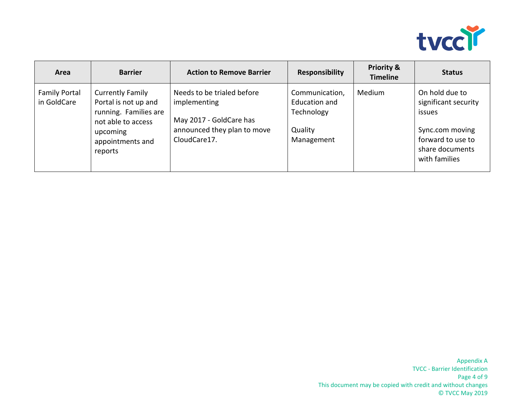

| Area                                | <b>Barrier</b>                                                                                                                            | <b>Action to Remove Barrier</b>                                                                                      | <b>Responsibility</b>                                                         | <b>Priority &amp;</b><br><b>Timeline</b> | <b>Status</b>                                                                                                                |
|-------------------------------------|-------------------------------------------------------------------------------------------------------------------------------------------|----------------------------------------------------------------------------------------------------------------------|-------------------------------------------------------------------------------|------------------------------------------|------------------------------------------------------------------------------------------------------------------------------|
| <b>Family Portal</b><br>in GoldCare | <b>Currently Family</b><br>Portal is not up and<br>running. Families are<br>not able to access<br>upcoming<br>appointments and<br>reports | Needs to be trialed before<br>implementing<br>May 2017 - GoldCare has<br>announced they plan to move<br>CloudCare17. | Communication,<br><b>Education and</b><br>Technology<br>Quality<br>Management | Medium                                   | On hold due to<br>significant security<br>issues<br>Sync.com moving<br>forward to use to<br>share documents<br>with families |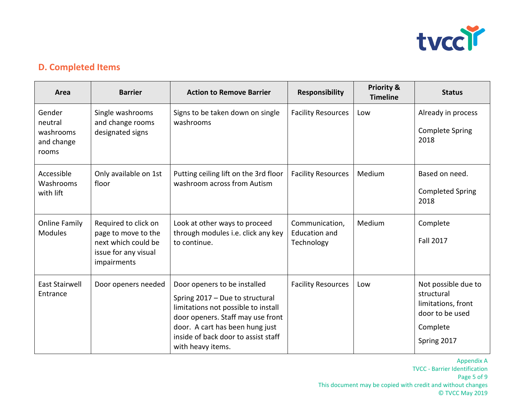

#### **D. Completed Items**

| Area                                                  | <b>Barrier</b>                                                                                            | <b>Action to Remove Barrier</b>                                                                                                                                                                                                            | <b>Responsibility</b>                                | <b>Priority &amp;</b><br><b>Timeline</b> | <b>Status</b>                                                                                         |
|-------------------------------------------------------|-----------------------------------------------------------------------------------------------------------|--------------------------------------------------------------------------------------------------------------------------------------------------------------------------------------------------------------------------------------------|------------------------------------------------------|------------------------------------------|-------------------------------------------------------------------------------------------------------|
| Gender<br>neutral<br>washrooms<br>and change<br>rooms | Single washrooms<br>and change rooms<br>designated signs                                                  | Signs to be taken down on single<br>washrooms                                                                                                                                                                                              | <b>Facility Resources</b>                            | Low                                      | Already in process<br><b>Complete Spring</b><br>2018                                                  |
| Accessible<br>Washrooms<br>with lift                  | Only available on 1st<br>floor                                                                            | Putting ceiling lift on the 3rd floor<br>washroom across from Autism                                                                                                                                                                       | <b>Facility Resources</b>                            | Medium                                   | Based on need.<br><b>Completed Spring</b><br>2018                                                     |
| <b>Online Family</b><br><b>Modules</b>                | Required to click on<br>page to move to the<br>next which could be<br>issue for any visual<br>impairments | Look at other ways to proceed<br>through modules i.e. click any key<br>to continue.                                                                                                                                                        | Communication,<br><b>Education and</b><br>Technology | Medium                                   | Complete<br><b>Fall 2017</b>                                                                          |
| <b>East Stairwell</b><br>Entrance                     | Door openers needed                                                                                       | Door openers to be installed<br>Spring 2017 - Due to structural<br>limitations not possible to install<br>door openers. Staff may use front<br>door. A cart has been hung just<br>inside of back door to assist staff<br>with heavy items. | <b>Facility Resources</b>                            | Low                                      | Not possible due to<br>structural<br>limitations, front<br>door to be used<br>Complete<br>Spring 2017 |

Appendix A TVCC - Barrier Identification Page 5 of 9 This document may be copied with credit and without changes © TVCC May 2019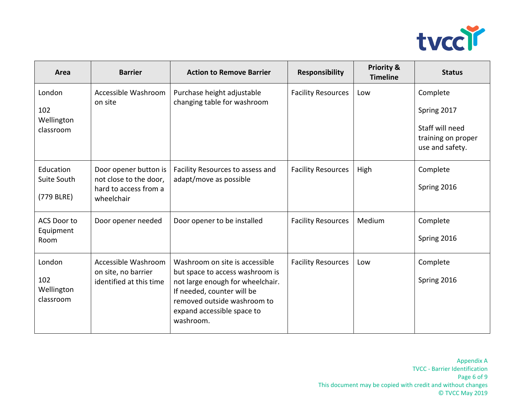

| Area                                     | <b>Barrier</b>                                                                         | <b>Action to Remove Barrier</b>                                                                                                                                                                               | <b>Responsibility</b>     | <b>Priority &amp;</b><br><b>Timeline</b> | <b>Status</b>                                                                       |
|------------------------------------------|----------------------------------------------------------------------------------------|---------------------------------------------------------------------------------------------------------------------------------------------------------------------------------------------------------------|---------------------------|------------------------------------------|-------------------------------------------------------------------------------------|
| London<br>102<br>Wellington<br>classroom | Accessible Washroom<br>on site                                                         | Purchase height adjustable<br>changing table for washroom                                                                                                                                                     | <b>Facility Resources</b> | Low                                      | Complete<br>Spring 2017<br>Staff will need<br>training on proper<br>use and safety. |
| Education<br>Suite South<br>(779 BLRE)   | Door opener button is<br>not close to the door,<br>hard to access from a<br>wheelchair | Facility Resources to assess and<br>adapt/move as possible                                                                                                                                                    | <b>Facility Resources</b> | High                                     | Complete<br>Spring 2016                                                             |
| <b>ACS Door to</b><br>Equipment<br>Room  | Door opener needed                                                                     | Door opener to be installed                                                                                                                                                                                   | <b>Facility Resources</b> | Medium                                   | Complete<br>Spring 2016                                                             |
| London<br>102<br>Wellington<br>classroom | Accessible Washroom<br>on site, no barrier<br>identified at this time                  | Washroom on site is accessible<br>but space to access washroom is<br>not large enough for wheelchair.<br>If needed, counter will be<br>removed outside washroom to<br>expand accessible space to<br>washroom. | <b>Facility Resources</b> | Low                                      | Complete<br>Spring 2016                                                             |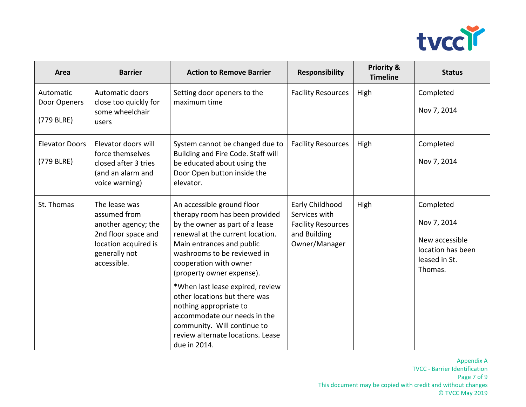

| Area                                    | <b>Barrier</b>                                                                                                                      | <b>Action to Remove Barrier</b>                                                                                                                                                                                                                                                                                                                                                                                                                                           | <b>Responsibility</b>                                                                          | <b>Priority &amp;</b><br><b>Timeline</b> | <b>Status</b>                                                                               |
|-----------------------------------------|-------------------------------------------------------------------------------------------------------------------------------------|---------------------------------------------------------------------------------------------------------------------------------------------------------------------------------------------------------------------------------------------------------------------------------------------------------------------------------------------------------------------------------------------------------------------------------------------------------------------------|------------------------------------------------------------------------------------------------|------------------------------------------|---------------------------------------------------------------------------------------------|
| Automatic<br>Door Openers<br>(779 BLRE) | Automatic doors<br>close too quickly for<br>some wheelchair<br>users                                                                | Setting door openers to the<br>maximum time                                                                                                                                                                                                                                                                                                                                                                                                                               | <b>Facility Resources</b>                                                                      | High                                     | Completed<br>Nov 7, 2014                                                                    |
| <b>Elevator Doors</b><br>(779 BLRE)     | Elevator doors will<br>force themselves<br>closed after 3 tries<br>(and an alarm and<br>voice warning)                              | System cannot be changed due to<br>Building and Fire Code. Staff will<br>be educated about using the<br>Door Open button inside the<br>elevator.                                                                                                                                                                                                                                                                                                                          | <b>Facility Resources</b>                                                                      | High                                     | Completed<br>Nov 7, 2014                                                                    |
| St. Thomas                              | The lease was<br>assumed from<br>another agency; the<br>2nd floor space and<br>location acquired is<br>generally not<br>accessible. | An accessible ground floor<br>therapy room has been provided<br>by the owner as part of a lease<br>renewal at the current location.<br>Main entrances and public<br>washrooms to be reviewed in<br>cooperation with owner<br>(property owner expense).<br>*When last lease expired, review<br>other locations but there was<br>nothing appropriate to<br>accommodate our needs in the<br>community. Will continue to<br>review alternate locations. Lease<br>due in 2014. | Early Childhood<br>Services with<br><b>Facility Resources</b><br>and Building<br>Owner/Manager | High                                     | Completed<br>Nov 7, 2014<br>New accessible<br>location has been<br>leased in St.<br>Thomas. |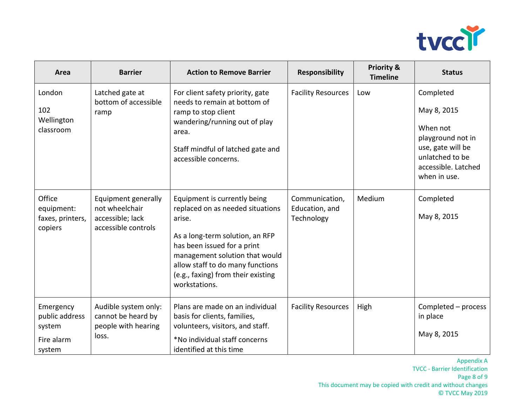

| Area                                                          | <b>Barrier</b>                                                                   | <b>Action to Remove Barrier</b>                                                                                                                                                                                                                                           | <b>Responsibility</b>                          | <b>Priority &amp;</b><br><b>Timeline</b> | <b>Status</b>                                                                                                                            |
|---------------------------------------------------------------|----------------------------------------------------------------------------------|---------------------------------------------------------------------------------------------------------------------------------------------------------------------------------------------------------------------------------------------------------------------------|------------------------------------------------|------------------------------------------|------------------------------------------------------------------------------------------------------------------------------------------|
| London<br>102<br>Wellington<br>classroom                      | Latched gate at<br>bottom of accessible<br>ramp                                  | For client safety priority, gate<br>needs to remain at bottom of<br>ramp to stop client<br>wandering/running out of play<br>area.<br>Staff mindful of latched gate and<br>accessible concerns.                                                                            | <b>Facility Resources</b>                      | Low                                      | Completed<br>May 8, 2015<br>When not<br>playground not in<br>use, gate will be<br>unlatched to be<br>accessible. Latched<br>when in use. |
| Office<br>equipment:<br>faxes, printers,<br>copiers           | Equipment generally<br>not wheelchair<br>accessible; lack<br>accessible controls | Equipment is currently being<br>replaced on as needed situations<br>arise.<br>As a long-term solution, an RFP<br>has been issued for a print<br>management solution that would<br>allow staff to do many functions<br>(e.g., faxing) from their existing<br>workstations. | Communication,<br>Education, and<br>Technology | Medium                                   | Completed<br>May 8, 2015                                                                                                                 |
| Emergency<br>public address<br>system<br>Fire alarm<br>system | Audible system only:<br>cannot be heard by<br>people with hearing<br>loss.       | Plans are made on an individual<br>basis for clients, families,<br>volunteers, visitors, and staff.<br>*No individual staff concerns<br>identified at this time                                                                                                           | <b>Facility Resources</b>                      | High                                     | Completed - process<br>in place<br>May 8, 2015                                                                                           |